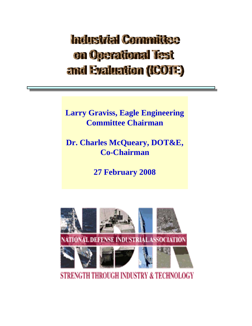## Industrial Committee on Operational lest and Evaluation (ICOTE)

**Larry Graviss, Eagle Engineering Committee Chairman**

**Dr. Charles McQueary, DOT&E, Co-Chairman**

**27 February 2008**



**STRENGTH THROUGH INDUSTRY & TECHNOLOGY**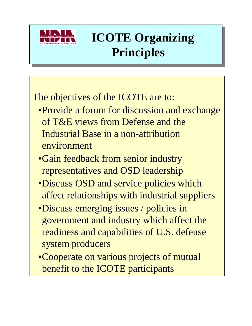

# **ICOTE Organizing ICOTE Organizing Principles Principles**

### The objectives of the ICOTE are to:

- •Provide a forum for discussion and exchange of T&E views from Defense and the Industrial Base in a non-attribution environment
- •Gain feedback from senior industry representatives and OSD leadership
- •Discuss OSD and service policies which affect relationships with industrial suppliers
- •Discuss emerging issues / policies in government and industry which affect the readiness and capabilities of U.S. defense system producers
- •Cooperate on various projects of mutual benefit to the ICOTE participants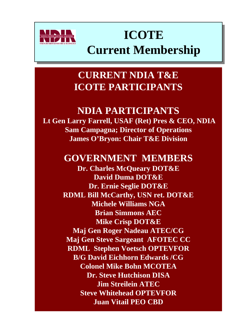

## **ICOTE ICOTE Current Membership Current Membership**

### **CURRENT NDIA T&E ICOTE PARTICIPANTS**

#### **NDIA PARTICIPANTS**

**Lt Gen Larry Farrell, USAF (Ret) Pres & CEO, NDIA Sam Campagna; Director of Operations James O'Bryon: Chair T&E Division**

#### **GOVERNMENT MEMBERS**

**Dr. Charles McQueary DOT&E David Duma DOT&E Dr. Ernie Seglie DOT&E RDML Bill McCarthy, USN ret. DOT&E Michele Williams NGA Brian Simmons AEC Mike Crisp DOT&E Maj Gen Roger Nadeau ATEC/CG Maj Gen Steve Sargeant AFOTEC CC RDML Stephen Voetsch OPTEVFOR B/G David Eichhorn Edwards /CG Colonel Mike Bohn MCOTEA Dr. Steve Hutchison DISA Jim Streilein ATEC Steve Whitehead OPTEVFOR Juan Vitail PEO CBD**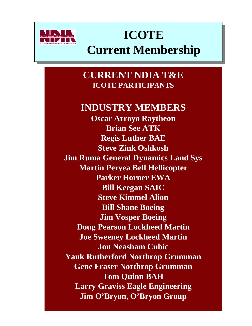

## **ICOTE ICOTE Current Membership Current Membership**

**CURRENT NDIA T&E ICOTE PARTICIPANTS**

#### **INDUSTRY MEMBERS**

**Oscar Arroyo Raytheon Brian See ATK Regis Luther BAE Steve Zink Oshkosh Jim Ruma General Dynamics Land Sys Martin Peryea Bell Hellicopter Parker Horner EWA Bill Keegan SAIC Steve Kimmel Alion Bill Shane Boeing Jim Vosper Boeing Doug Pearson Lockheed Martin Joe Sweeney Lockheed Martin Jon Neasham Cubic Yank Rutherford Northrop Grumman Gene Fraser Northrop Grumman Tom Quinn BAH Larry Graviss Eagle Engineering Jim O'Bryon, O'Bryon Group**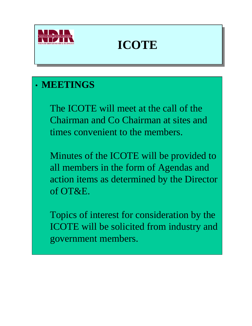

### **ICOTE ICOTE**

### • **MEETINGS**

The ICOTE will meet at the call of the Chairman and Co Chairman at sites and times convenient to the members.

Minutes of the ICOTE will be provided to all members in the form of Agendas and action items as determined by the Director of OT&E.

Topics of interest for consideration by the ICOTE will be solicited from industry and government members.